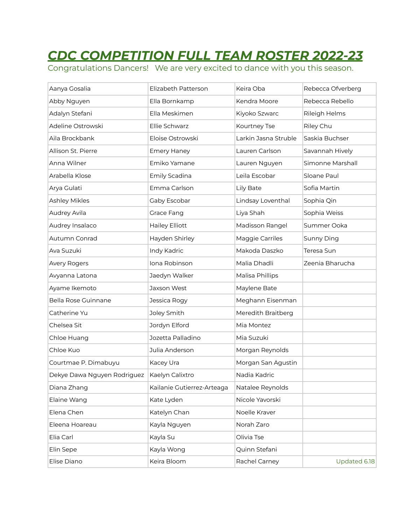## *CDC COMPETITION FULL TEAM ROSTER 2022-23*

Congratulations Dancers! We are very excited to dance with you this season.

| Aanya Gosalia               | Elizabeth Patterson        | Keira Oba            | Rebecca Ofverberg |
|-----------------------------|----------------------------|----------------------|-------------------|
| Abby Nguyen                 | Ella Bornkamp              | Kendra Moore         | Rebecca Rebello   |
| Adalyn Stefani              | Ella Meskimen              | Kiyoko Szwarc        | Rileigh Helms     |
| Adeline Ostrowski           | Ellie Schwarz              | Kourtney Tse         | Riley Chu         |
| Aila Brockbank              | Eloise Ostrowski           | Larkin Jasna Struble | Saskia Buchser    |
| Allison St. Pierre          | <b>Emery Haney</b>         | Lauren Carlson       | Savannah Hively   |
| Anna Wilner                 | Emiko Yamane               | Lauren Nguyen        | Simonne Marshall  |
| Arabella Klose              | Emily Scadina              | Leila Escobar        | Sloane Paul       |
| Arya Gulati                 | Emma Carlson               | Lily Bate            | Sofia Martin      |
| Ashley Mikles               | Gaby Escobar               | Lindsay Loventhal    | Sophia Qin        |
| Audrey Avila                | Grace Fang                 | Liya Shah            | Sophia Weiss      |
| Audrey Insalaco             | <b>Hailey Elliott</b>      | Madisson Rangel      | Summer Ooka       |
| Autumn Conrad               | Hayden Shirley             | Maggie Carriles      | Sunny Ding        |
| Ava Suzuki                  | Indy Kadric                | Makoda Daszko        | Teresa Sun        |
| Avery Rogers                | Iona Robinson              | Malia Dhadli         | Zeenia Bharucha   |
| Avyanna Latona              | Jaedyn Walker              | Malisa Phillips      |                   |
| Ayame Ikemoto               | Jaxson West                | Maylene Bate         |                   |
| Bella Rose Guinnane         | Jessica Rogy               | Meghann Eisenman     |                   |
| Catherine Yu                | Joley Smith                | Meredith Braitberg   |                   |
| Chelsea Sit                 | Jordyn Elford              | Mia Montez           |                   |
| Chloe Huang                 | Jozetta Palladino          | Mia Suzuki           |                   |
| Chloe Kuo                   | Julia Anderson             | Morgan Reynolds      |                   |
| Courtmae P. Dimabuyu        | Kacey Ura                  | Morgan San Agustin   |                   |
| Dekye Dawa Nguyen Rodriguez | Kaelyn Calixtro            | Nadia Kadric         |                   |
| Diana Zhang                 | Kailanie Gutierrez-Arteaga | Natalee Reynolds     |                   |
| Elaine Wang                 | Kate Lyden                 | Nicole Yavorski      |                   |
| Elena Chen                  | Katelyn Chan               | Noelle Kraver        |                   |
| Eleena Hoareau              | Kayla Nguyen               | Norah Zaro           |                   |
| Elia Carl                   | Kayla Su                   | Olivia Tse           |                   |
| Elin Sepe                   | Kayla Wong                 | Quinn Stefani        |                   |
| Elise Diano                 | Keira Bloom                | Rachel Carney        | Updated 6.18      |